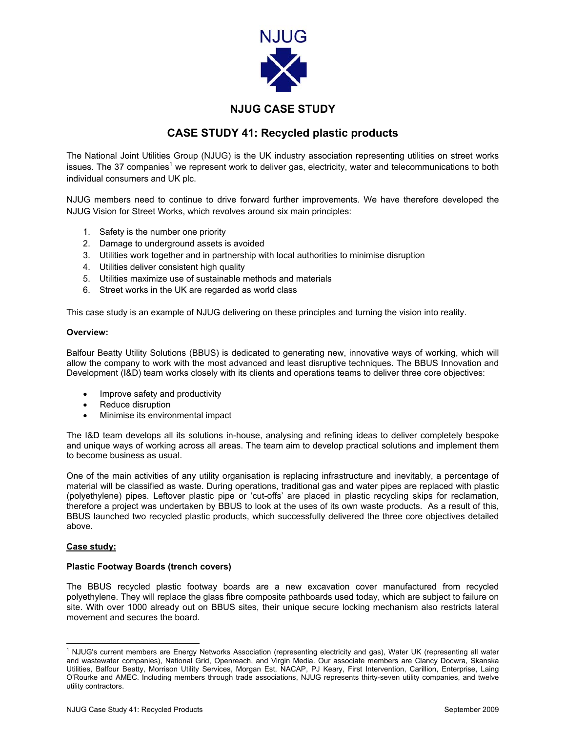

# **NJUG CASE STUDY**

## **CASE STUDY 41: Recycled plastic products**

The National Joint Utilities Group (NJUG) is the UK industry association representing utilities on street works issues. The 37 companies<sup>[1](#page-0-0)</sup> we represent work to deliver gas, electricity, water and telecommunications to both individual consumers and UK plc.

NJUG members need to continue to drive forward further improvements. We have therefore developed the NJUG Vision for Street Works, which revolves around six main principles:

- 1. Safety is the number one priority
- 2. Damage to underground assets is avoided
- 3. Utilities work together and in partnership with local authorities to minimise disruption
- 4. Utilities deliver consistent high quality
- 5. Utilities maximize use of sustainable methods and materials
- 6. Street works in the UK are regarded as world class

This case study is an example of NJUG delivering on these principles and turning the vision into reality.

#### **Overview:**

Balfour Beatty Utility Solutions (BBUS) is dedicated to generating new, innovative ways of working, which will allow the company to work with the most advanced and least disruptive techniques. The BBUS Innovation and Development (I&D) team works closely with its clients and operations teams to deliver three core objectives:

- Improve safety and productivity
- Reduce disruption
- Minimise its environmental impact

The I&D team develops all its solutions in-house, analysing and refining ideas to deliver completely bespoke and unique ways of working across all areas. The team aim to develop practical solutions and implement them to become business as usual.

One of the main activities of any utility organisation is replacing infrastructure and inevitably, a percentage of material will be classified as waste. During operations, traditional gas and water pipes are replaced with plastic (polyethylene) pipes. Leftover plastic pipe or 'cut-offs' are placed in plastic recycling skips for reclamation, therefore a project was undertaken by BBUS to look at the uses of its own waste products. As a result of this, BBUS launched two recycled plastic products, which successfully delivered the three core objectives detailed above.

## **Case study:**

## **Plastic Footway Boards (trench covers)**

The BBUS recycled plastic footway boards are a new excavation cover manufactured from recycled polyethylene. They will replace the glass fibre composite pathboards used today, which are subject to failure on site. With over 1000 already out on BBUS sites, their unique secure locking mechanism also restricts lateral movement and secures the board.

<span id="page-0-0"></span> $\frac{1}{1}$  $1$  NJUG's current members are Energy Networks Association (representing electricity and gas), Water UK (representing all water and wastewater companies), National Grid, Openreach, and Virgin Media. Our associate members are Clancy Docwra, Skanska Utilities, Balfour Beatty, Morrison Utility Services, Morgan Est, NACAP, PJ Keary, First Intervention, Carillion, Enterprise, Laing O'Rourke and AMEC. Including members through trade associations, NJUG represents thirty-seven utility companies, and twelve utility contractors.